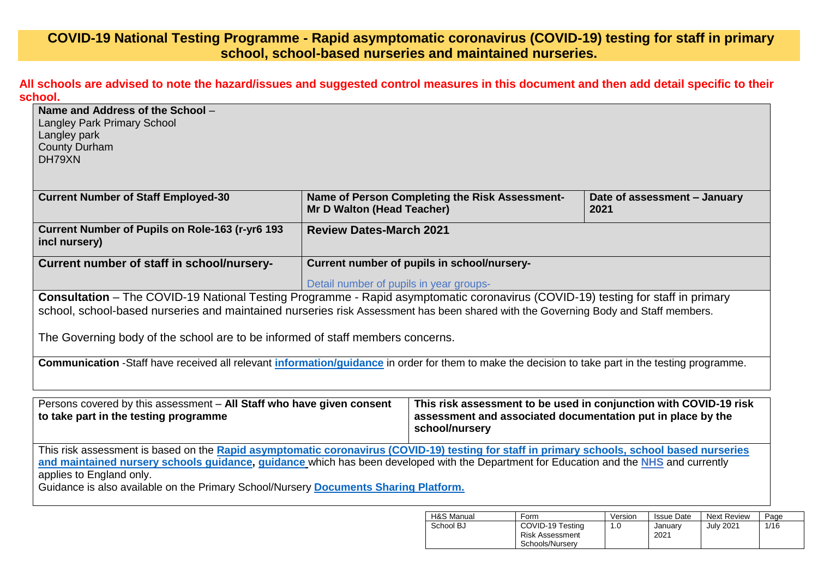## **COVID-19 National Testing Programme - Rapid asymptomatic coronavirus (COVID-19) testing for staff in primary school, school-based nurseries and maintained nurseries.**

**All schools are advised to note the hazard/issues and suggested control measures in this document and then add detail specific to their school.**

| Name and Address of the School -<br>Langley Park Primary School                                                                                           |                                         |                                                |                                                                   |  |  |  |  |
|-----------------------------------------------------------------------------------------------------------------------------------------------------------|-----------------------------------------|------------------------------------------------|-------------------------------------------------------------------|--|--|--|--|
| Langley park                                                                                                                                              |                                         |                                                |                                                                   |  |  |  |  |
| <b>County Durham</b>                                                                                                                                      |                                         |                                                |                                                                   |  |  |  |  |
| DH79XN                                                                                                                                                    |                                         |                                                |                                                                   |  |  |  |  |
|                                                                                                                                                           |                                         |                                                |                                                                   |  |  |  |  |
|                                                                                                                                                           |                                         |                                                |                                                                   |  |  |  |  |
| <b>Current Number of Staff Employed-30</b>                                                                                                                | <b>Mr D Walton (Head Teacher)</b>       | Name of Person Completing the Risk Assessment- | Date of assessment - January<br>2021                              |  |  |  |  |
| Current Number of Pupils on Role-163 (r-yr6 193<br>incl nursery)                                                                                          | <b>Review Dates-March 2021</b>          |                                                |                                                                   |  |  |  |  |
| Current number of staff in school/nursery-                                                                                                                |                                         | Current number of pupils in school/nursery-    |                                                                   |  |  |  |  |
|                                                                                                                                                           | Detail number of pupils in year groups- |                                                |                                                                   |  |  |  |  |
| Consultation - The COVID-19 National Testing Programme - Rapid asymptomatic coronavirus (COVID-19) testing for staff in primary                           |                                         |                                                |                                                                   |  |  |  |  |
| school, school-based nurseries and maintained nurseries risk Assessment has been shared with the Governing Body and Staff members.                        |                                         |                                                |                                                                   |  |  |  |  |
|                                                                                                                                                           |                                         |                                                |                                                                   |  |  |  |  |
| The Governing body of the school are to be informed of staff members concerns.                                                                            |                                         |                                                |                                                                   |  |  |  |  |
| Communication -Staff have received all relevant <i>information/guidance</i> in order for them to make the decision to take part in the testing programme. |                                         |                                                |                                                                   |  |  |  |  |
|                                                                                                                                                           |                                         |                                                |                                                                   |  |  |  |  |
|                                                                                                                                                           |                                         |                                                |                                                                   |  |  |  |  |
| Persons covered by this assessment - All Staff who have given consent                                                                                     |                                         |                                                | This risk assessment to be used in conjunction with COVID-19 risk |  |  |  |  |
| assessment and associated documentation put in place by the<br>to take part in the testing programme<br>school/nursery                                    |                                         |                                                |                                                                   |  |  |  |  |
| This risk assessment is based on the Rapid asymptomatic coronavirus (COVID-19) testing for staff in primary schools, school based nurseries               |                                         |                                                |                                                                   |  |  |  |  |
| and maintained nursery schools guidance, guidance which has been developed with the Department for Education and the NHS and currently                    |                                         |                                                |                                                                   |  |  |  |  |
| applies to England only.                                                                                                                                  |                                         |                                                |                                                                   |  |  |  |  |
| Guidance is also available on the Primary School/Nursery Documents Sharing Platform.                                                                      |                                         |                                                |                                                                   |  |  |  |  |
|                                                                                                                                                           |                                         |                                                |                                                                   |  |  |  |  |

| H&S Manual | Form                                                   | Version | <b>Issue Date</b> | <b>Next Review</b> | Page |
|------------|--------------------------------------------------------|---------|-------------------|--------------------|------|
| School BJ  | COVID-19 Testing<br>Risk Assessment<br>Schools/Nurserv | 1.0     | Januarv<br>2021   | <b>July 2021</b>   | 1/16 |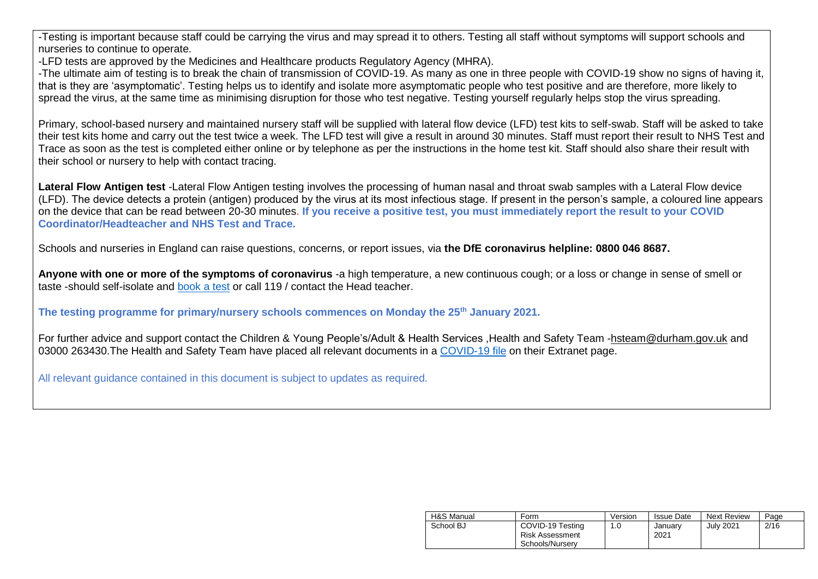-Testing is important because staff could be carrying the virus and may spread it to others. Testing all staff without symptoms will support schools and nurseries to continue to operate.

-LFD tests are approved by the Medicines and Healthcare products Regulatory Agency (MHRA).

-The ultimate aim of testing is to break the chain of transmission of COVID-19. As many as one in three people with COVID-19 show no signs of having it, that is they are 'asymptomatic'. Testing helps us to identify and isolate more asymptomatic people who test positive and are therefore, more likely to spread the virus, at the same time as minimising disruption for those who test negative. Testing yourself regularly helps stop the virus spreading.

Primary, school-based nursery and maintained nursery staff will be supplied with lateral flow device (LFD) test kits to self-swab. Staff will be asked to take their test kits home and carry out the test twice a week. The LFD test will give a result in around 30 minutes. Staff must report their result to NHS Test and Trace as soon as the test is completed either online or by telephone as per the instructions in the home test kit. Staff should also share their result with their school or nursery to help with contact tracing.

**Lateral Flow Antigen test** -Lateral Flow Antigen testing involves the processing of human nasal and throat swab samples with a Lateral Flow device (LFD). The device detects a protein (antigen) produced by the virus at its most infectious stage. If present in the person's sample, a coloured line appears on the device that can be read between 20-30 minutes. **If you receive a positive test, you must immediately report the result to your COVID Coordinator/Headteacher and NHS Test and Trace.**

Schools and nurseries in England can raise questions, concerns, or report issues, via **the DfE coronavirus helpline: 0800 046 8687.** 

**Anyone with one or more of the symptoms of coronavirus** -a high temperature, a new continuous cough; or a loss or change in sense of smell or taste -should self-isolate and [book a test](https://www.gov.uk/guidance/coronavirus-covid-19-getting-tested) or call 119 / contact the Head teacher.

**The testing programme for primary/nursery schools commences on Monday the 25th January 2021.**

For further advice and support contact the Children & Young People's/Adult & Health Services ,Health and Safety Team [-hsteam@durham.gov.uk](mailto:hsteam@durham.gov.uk) and 03000 263430.The Health and Safety Team have placed all relevant documents in a [COVID-19 file](https://gateway.durhamschools.org.uk/premises/healthsafety/Lists/Covid19/Document.aspx?ID=1&Source=https://gateway.durhamschools.org.uk/premises/healthsafety%2FLists/Covid19) on their Extranet page.

All relevant guidance contained in this document is subject to updates as required.

| H&S Manual | Form                                                   | Version | <b>Issue Date</b> | <b>Next Review</b> | Page |
|------------|--------------------------------------------------------|---------|-------------------|--------------------|------|
| School BJ  | COVID-19 Testing<br>Risk Assessment<br>Schools/Nurserv | 1.0     | Januarv<br>2021   | July 2021          | 2/16 |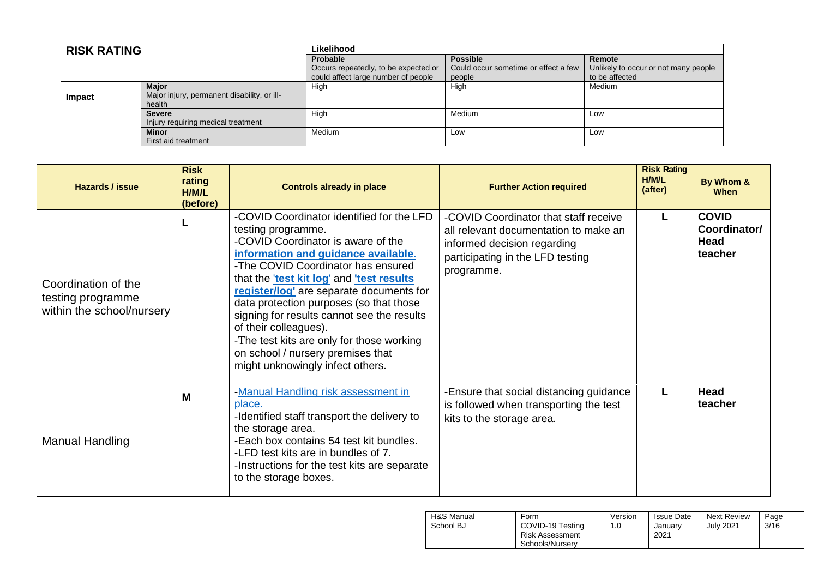| <b>RISK RATING</b> |                                             | Likelihood                           |                                      |                                      |
|--------------------|---------------------------------------------|--------------------------------------|--------------------------------------|--------------------------------------|
|                    |                                             | Probable                             | <b>Possible</b>                      | Remote                               |
|                    |                                             | Occurs repeatedly, to be expected or | Could occur sometime or effect a few | Unlikely to occur or not many people |
|                    |                                             | could affect large number of people  | people                               | to be affected                       |
|                    | <b>Major</b>                                | High                                 | High                                 | Medium                               |
| Impact             | Major injury, permanent disability, or ill- |                                      |                                      |                                      |
|                    | health                                      |                                      |                                      |                                      |
|                    | <b>Severe</b>                               | High                                 | Medium                               | Low                                  |
|                    | Injury requiring medical treatment          |                                      |                                      |                                      |
|                    | <b>Minor</b>                                | Medium                               | Low                                  | Low                                  |
|                    | First aid treatment                         |                                      |                                      |                                      |

| Hazards / issue                                                       | <b>Risk</b><br>rating<br>H/M/L<br>(before) | <b>Controls already in place</b>                                                                                                                                                                                                                                                                                                                                                                                                                                                                                  | <b>Further Action required</b>                                                                                                                                  | <b>Risk Rating</b><br>H/M/L<br>(after) | By Whom &<br><b>When</b>                        |
|-----------------------------------------------------------------------|--------------------------------------------|-------------------------------------------------------------------------------------------------------------------------------------------------------------------------------------------------------------------------------------------------------------------------------------------------------------------------------------------------------------------------------------------------------------------------------------------------------------------------------------------------------------------|-----------------------------------------------------------------------------------------------------------------------------------------------------------------|----------------------------------------|-------------------------------------------------|
| Coordination of the<br>testing programme<br>within the school/nursery |                                            | -COVID Coordinator identified for the LFD<br>testing programme.<br>-COVID Coordinator is aware of the<br>information and guidance available.<br>-The COVID Coordinator has ensured<br>that the lest kit log' and lest results<br>register/log' are separate documents for<br>data protection purposes (so that those<br>signing for results cannot see the results<br>of their colleagues).<br>-The test kits are only for those working<br>on school / nursery premises that<br>might unknowingly infect others. | -COVID Coordinator that staff receive<br>all relevant documentation to make an<br>informed decision regarding<br>participating in the LFD testing<br>programme. | L                                      | <b>COVID</b><br>Coordinator/<br>Head<br>teacher |
| <b>Manual Handling</b>                                                | M                                          | -Manual Handling risk assessment in<br>place.<br>-Identified staff transport the delivery to<br>the storage area.<br>-Each box contains 54 test kit bundles.<br>-LFD test kits are in bundles of 7.<br>-Instructions for the test kits are separate<br>to the storage boxes.                                                                                                                                                                                                                                      | -Ensure that social distancing guidance<br>is followed when transporting the test<br>kits to the storage area.                                                  | L                                      | Head<br>teacher                                 |

| H&S Manual | Form                                                          | Version | <b>Issue Date</b> | <b>Next Review</b> | Page |
|------------|---------------------------------------------------------------|---------|-------------------|--------------------|------|
| School BJ  | COVID-19 Testing<br><b>Risk Assessment</b><br>Schools/Nurserv | 1.0     | Januarv<br>2021   | <b>July 2021</b>   | 3/16 |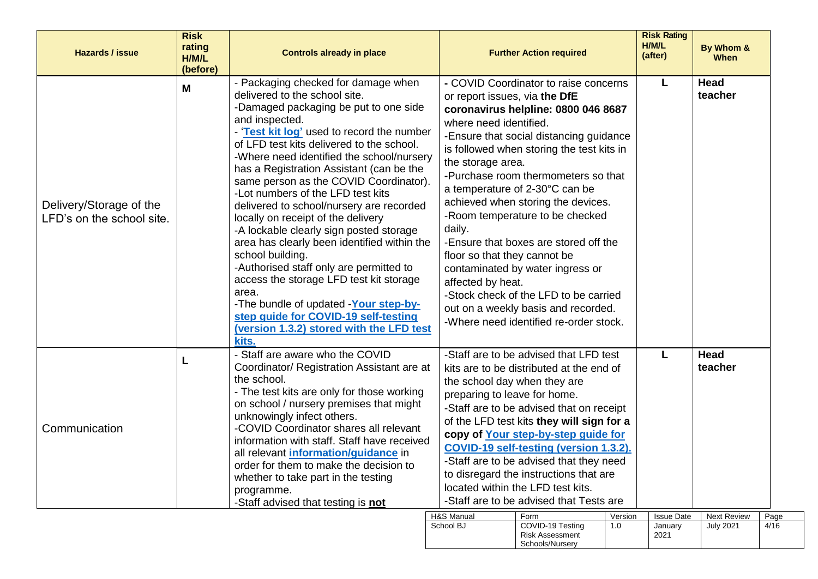| <b>Hazards / issue</b>                               | <b>Risk</b><br>rating<br>H/M/L<br>(before) | <b>Controls already in place</b>                                                                                                                                                                                                                                                                                                                                                                                                                                                                                                                                                                                                                                                                                                                                                                                                        |                                                                                                                                             | <b>Further Action required</b>                                                                                                                                                                                                                                                                                                                                                                                                                                                                                                |                | <b>Risk Rating</b><br>H/M/L<br>(after) | By Whom &<br><b>When</b>               |              |
|------------------------------------------------------|--------------------------------------------|-----------------------------------------------------------------------------------------------------------------------------------------------------------------------------------------------------------------------------------------------------------------------------------------------------------------------------------------------------------------------------------------------------------------------------------------------------------------------------------------------------------------------------------------------------------------------------------------------------------------------------------------------------------------------------------------------------------------------------------------------------------------------------------------------------------------------------------------|---------------------------------------------------------------------------------------------------------------------------------------------|-------------------------------------------------------------------------------------------------------------------------------------------------------------------------------------------------------------------------------------------------------------------------------------------------------------------------------------------------------------------------------------------------------------------------------------------------------------------------------------------------------------------------------|----------------|----------------------------------------|----------------------------------------|--------------|
| Delivery/Storage of the<br>LFD's on the school site. | M                                          | - Packaging checked for damage when<br>delivered to the school site.<br>-Damaged packaging be put to one side<br>and inspected.<br>- 'Test kit log' used to record the number<br>of LFD test kits delivered to the school.<br>-Where need identified the school/nursery<br>has a Registration Assistant (can be the<br>same person as the COVID Coordinator).<br>-Lot numbers of the LFD test kits<br>delivered to school/nursery are recorded<br>locally on receipt of the delivery<br>-A lockable clearly sign posted storage<br>area has clearly been identified within the<br>school building.<br>-Authorised staff only are permitted to<br>access the storage LFD test kit storage<br>area.<br>-The bundle of updated -Your step-by-<br>step guide for COVID-19 self-testing<br>(version 1.3.2) stored with the LFD test<br>kits. | or report issues, via the DfE<br>where need identified.<br>the storage area.<br>daily.<br>floor so that they cannot be<br>affected by heat. | - COVID Coordinator to raise concerns<br>coronavirus helpline: 0800 046 8687<br>-Ensure that social distancing guidance<br>is followed when storing the test kits in<br>-Purchase room thermometers so that<br>a temperature of 2-30°C can be<br>achieved when storing the devices.<br>-Room temperature to be checked<br>-Ensure that boxes are stored off the<br>contaminated by water ingress or<br>-Stock check of the LFD to be carried<br>out on a weekly basis and recorded.<br>-Where need identified re-order stock. |                |                                        | <b>Head</b><br>teacher                 |              |
| Communication                                        | L                                          | - Staff are aware who the COVID<br>Coordinator/ Registration Assistant are at<br>the school.<br>- The test kits are only for those working<br>on school / nursery premises that might<br>unknowingly infect others.<br>-COVID Coordinator shares all relevant<br>information with staff. Staff have received<br>all relevant information/guidance in<br>order for them to make the decision to<br>whether to take part in the testing<br>programme.<br>-Staff advised that testing is not                                                                                                                                                                                                                                                                                                                                               | preparing to leave for home.                                                                                                                | -Staff are to be advised that LFD test<br>kits are to be distributed at the end of<br>the school day when they are<br>-Staff are to be advised that on receipt<br>of the LFD test kits they will sign for a<br>copy of Your step-by-step guide for<br>COVID-19 self-testing (version 1.3.2).<br>-Staff are to be advised that they need<br>to disregard the instructions that are<br>located within the LFD test kits.<br>-Staff are to be advised that Tests are                                                             |                | L                                      | <b>Head</b><br>teacher                 |              |
|                                                      |                                            |                                                                                                                                                                                                                                                                                                                                                                                                                                                                                                                                                                                                                                                                                                                                                                                                                                         | H&S Manual<br>School BJ                                                                                                                     | Form<br>COVID-19 Testing                                                                                                                                                                                                                                                                                                                                                                                                                                                                                                      | Version<br>1.0 | <b>Issue Date</b><br>January           | <b>Next Review</b><br><b>July 2021</b> | Page<br>4/16 |

Risk Assessment Schools/Nursery

2021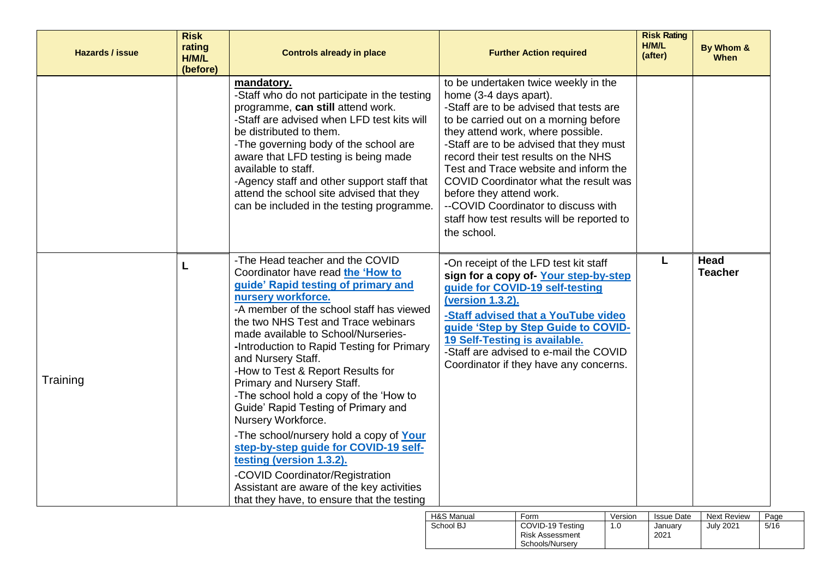| <b>Hazards / issue</b> | <b>Risk</b><br>rating<br>H/M/L<br>(before) | <b>Controls already in place</b>                                                                                                                                                                                                                                                                                                                                                                                                                                                                                                                                                                                                                                                                                                                        | <b>Further Action required</b>                                                                                                                                                                                                                                                                                                                                                                                                                                                               | <b>Risk Rating</b><br>H/M/L<br>(after) | By Whom &<br><b>When</b> |
|------------------------|--------------------------------------------|---------------------------------------------------------------------------------------------------------------------------------------------------------------------------------------------------------------------------------------------------------------------------------------------------------------------------------------------------------------------------------------------------------------------------------------------------------------------------------------------------------------------------------------------------------------------------------------------------------------------------------------------------------------------------------------------------------------------------------------------------------|----------------------------------------------------------------------------------------------------------------------------------------------------------------------------------------------------------------------------------------------------------------------------------------------------------------------------------------------------------------------------------------------------------------------------------------------------------------------------------------------|----------------------------------------|--------------------------|
|                        |                                            | mandatory.<br>-Staff who do not participate in the testing<br>programme, can still attend work.<br>-Staff are advised when LFD test kits will<br>be distributed to them.<br>-The governing body of the school are<br>aware that LFD testing is being made<br>available to staff.<br>-Agency staff and other support staff that<br>attend the school site advised that they<br>can be included in the testing programme.                                                                                                                                                                                                                                                                                                                                 | to be undertaken twice weekly in the<br>home (3-4 days apart).<br>-Staff are to be advised that tests are<br>to be carried out on a morning before<br>they attend work, where possible.<br>-Staff are to be advised that they must<br>record their test results on the NHS<br>Test and Trace website and inform the<br>COVID Coordinator what the result was<br>before they attend work.<br>--COVID Coordinator to discuss with<br>staff how test results will be reported to<br>the school. |                                        |                          |
| Training               | L                                          | -The Head teacher and the COVID<br>Coordinator have read the 'How to<br>guide' Rapid testing of primary and<br>nursery workforce.<br>-A member of the school staff has viewed<br>the two NHS Test and Trace webinars<br>made available to School/Nurseries-<br>-Introduction to Rapid Testing for Primary<br>and Nursery Staff.<br>-How to Test & Report Results for<br>Primary and Nursery Staff.<br>-The school hold a copy of the 'How to<br>Guide' Rapid Testing of Primary and<br>Nursery Workforce.<br>-The school/nursery hold a copy of Your<br>step-by-step guide for COVID-19 self-<br>testing (version 1.3.2).<br>-COVID Coordinator/Registration<br>Assistant are aware of the key activities<br>that they have, to ensure that the testing | -On receipt of the LFD test kit staff<br>sign for a copy of-Your step-by-step<br>guide for COVID-19 self-testing<br>(version 1.3.2).<br>-Staff advised that a YouTube video<br>guide 'Step by Step Guide to COVID-<br>19 Self-Testing is available.<br>-Staff are advised to e-mail the COVID<br>Coordinator if they have any concerns.                                                                                                                                                      | L                                      | Head<br><b>Teacher</b>   |

| H&S Manual | Form                                                          | Version | <b>Issue Date</b> | <b>Next Review</b> | Page |
|------------|---------------------------------------------------------------|---------|-------------------|--------------------|------|
| School BJ  | COVID-19 Testing<br><b>Risk Assessment</b><br>Schools/Nurserv | 1.0     | Januarv<br>2021   | <b>July 2021</b>   | 5/16 |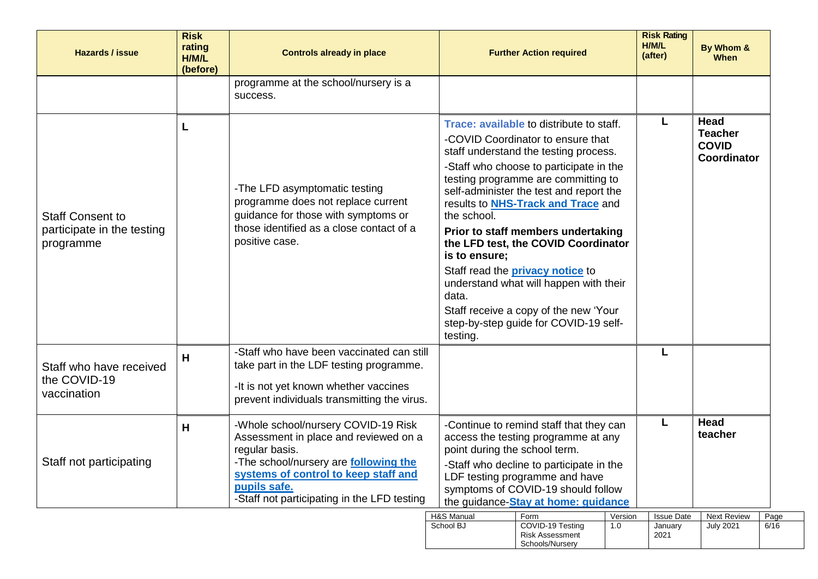| <b>Hazards / issue</b>                                             | <b>Risk</b><br>rating<br>H/M/L<br>(before) | <b>Controls already in place</b>                                                                                                                                                                                                               |                                                   | <b>Further Action required</b>                                                                                                                                                                                                                                                                                                                                                                                                                                                                                                                              |                | <b>Risk Rating</b><br>H/M/L<br>(after) | By Whom &<br>When                                            |              |
|--------------------------------------------------------------------|--------------------------------------------|------------------------------------------------------------------------------------------------------------------------------------------------------------------------------------------------------------------------------------------------|---------------------------------------------------|-------------------------------------------------------------------------------------------------------------------------------------------------------------------------------------------------------------------------------------------------------------------------------------------------------------------------------------------------------------------------------------------------------------------------------------------------------------------------------------------------------------------------------------------------------------|----------------|----------------------------------------|--------------------------------------------------------------|--------------|
|                                                                    |                                            | programme at the school/nursery is a<br>success.                                                                                                                                                                                               |                                                   |                                                                                                                                                                                                                                                                                                                                                                                                                                                                                                                                                             |                |                                        |                                                              |              |
| <b>Staff Consent to</b><br>participate in the testing<br>programme |                                            | -The LFD asymptomatic testing<br>programme does not replace current<br>guidance for those with symptoms or<br>those identified as a close contact of a<br>positive case.                                                                       | the school.<br>is to ensure;<br>data.<br>testing. | <b>Trace: available to distribute to staff.</b><br>-COVID Coordinator to ensure that<br>staff understand the testing process.<br>-Staff who choose to participate in the<br>testing programme are committing to<br>self-administer the test and report the<br>results to <b>NHS-Track and Trace</b> and<br>Prior to staff members undertaking<br>the LFD test, the COVID Coordinator<br>Staff read the <b>privacy notice</b> to<br>understand what will happen with their<br>Staff receive a copy of the new 'Your<br>step-by-step guide for COVID-19 self- |                |                                        | <b>Head</b><br><b>Teacher</b><br><b>COVID</b><br>Coordinator |              |
| Staff who have received<br>the COVID-19<br>vaccination             | н                                          | -Staff who have been vaccinated can still<br>take part in the LDF testing programme.<br>-It is not yet known whether vaccines<br>prevent individuals transmitting the virus.                                                                   |                                                   |                                                                                                                                                                                                                                                                                                                                                                                                                                                                                                                                                             |                | L                                      |                                                              |              |
| Staff not participating                                            | Н                                          | -Whole school/nursery COVID-19 Risk<br>Assessment in place and reviewed on a<br>regular basis.<br>-The school/nursery are following the<br>systems of control to keep staff and<br>pupils safe.<br>-Staff not participating in the LFD testing | point during the school term.                     | -Continue to remind staff that they can<br>access the testing programme at any<br>-Staff who decline to participate in the<br>LDF testing programme and have<br>symptoms of COVID-19 should follow<br>the guidance-Stay at home: guidance                                                                                                                                                                                                                                                                                                                   |                | L                                      | <b>Head</b><br>teacher                                       |              |
|                                                                    |                                            |                                                                                                                                                                                                                                                | H&S Manual<br>School BJ                           | Form<br>COVID-19 Testing<br><b>Risk Assessment</b><br>Schools/Nursery                                                                                                                                                                                                                                                                                                                                                                                                                                                                                       | Version<br>1.0 | <b>Issue Date</b><br>January<br>2021   | <b>Next Review</b><br><b>July 2021</b>                       | Page<br>6/16 |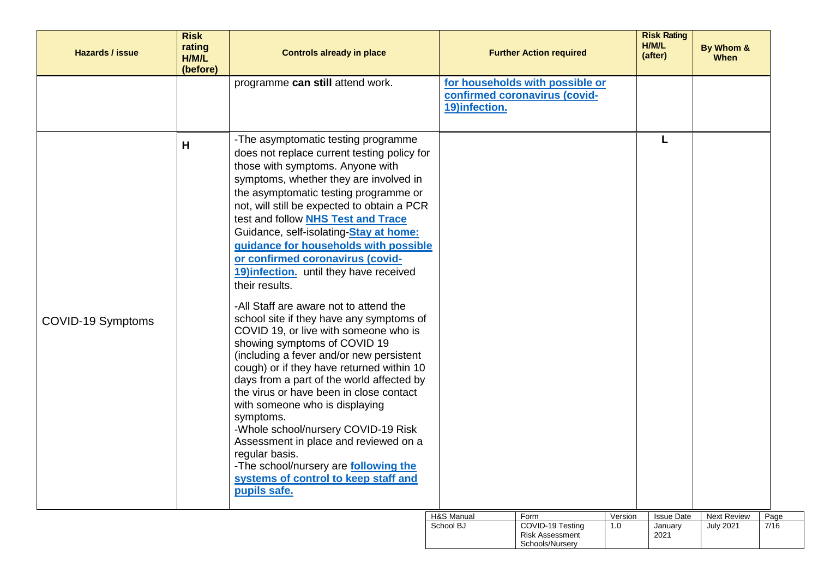| Hazards / issue          | <b>Risk</b><br>rating<br>H/M/L<br>(before) | <b>Controls already in place</b>                                                                                                                                                                                                                                                                                                                                                                                                                                                                                                                                                                                                                                                                                                                                                                                                                                                                                                                                                                                                                                                                   |               | <b>Further Action required</b>                                   |         | <b>Risk Rating</b><br>H/M/L<br>(after) | By Whom &<br><b>When</b>   |
|--------------------------|--------------------------------------------|----------------------------------------------------------------------------------------------------------------------------------------------------------------------------------------------------------------------------------------------------------------------------------------------------------------------------------------------------------------------------------------------------------------------------------------------------------------------------------------------------------------------------------------------------------------------------------------------------------------------------------------------------------------------------------------------------------------------------------------------------------------------------------------------------------------------------------------------------------------------------------------------------------------------------------------------------------------------------------------------------------------------------------------------------------------------------------------------------|---------------|------------------------------------------------------------------|---------|----------------------------------------|----------------------------|
|                          |                                            | programme can still attend work.                                                                                                                                                                                                                                                                                                                                                                                                                                                                                                                                                                                                                                                                                                                                                                                                                                                                                                                                                                                                                                                                   | 19)infection. | for households with possible or<br>confirmed coronavirus (covid- |         |                                        |                            |
| <b>COVID-19 Symptoms</b> | H                                          | -The asymptomatic testing programme<br>does not replace current testing policy for<br>those with symptoms. Anyone with<br>symptoms, whether they are involved in<br>the asymptomatic testing programme or<br>not, will still be expected to obtain a PCR<br>test and follow <b>NHS Test and Trace</b><br>Guidance, self-isolating-Stay at home:<br>guidance for households with possible<br>or confirmed coronavirus (covid-<br>19) infection. until they have received<br>their results.<br>-All Staff are aware not to attend the<br>school site if they have any symptoms of<br>COVID 19, or live with someone who is<br>showing symptoms of COVID 19<br>(including a fever and/or new persistent<br>cough) or if they have returned within 10<br>days from a part of the world affected by<br>the virus or have been in close contact<br>with someone who is displaying<br>symptoms.<br>-Whole school/nursery COVID-19 Risk<br>Assessment in place and reviewed on a<br>regular basis.<br>-The school/nursery are <b>following the</b><br>systems of control to keep staff and<br>pupils safe. |               |                                                                  |         |                                        |                            |
|                          |                                            |                                                                                                                                                                                                                                                                                                                                                                                                                                                                                                                                                                                                                                                                                                                                                                                                                                                                                                                                                                                                                                                                                                    | H&S Manual    | Form                                                             | Version | <b>Issue Date</b>                      | <b>Next Review</b><br>Page |

| H&S Manual | Form                   | Version | <b>Issue Date</b> | <b>Next Review</b> | Page |
|------------|------------------------|---------|-------------------|--------------------|------|
| School BJ  | COVID-19 Testing       |         | Januarv           | July 2021          | 7/16 |
|            | <b>Risk Assessment</b> |         | 2021              |                    |      |
|            | Schools/Nurserv        |         |                   |                    |      |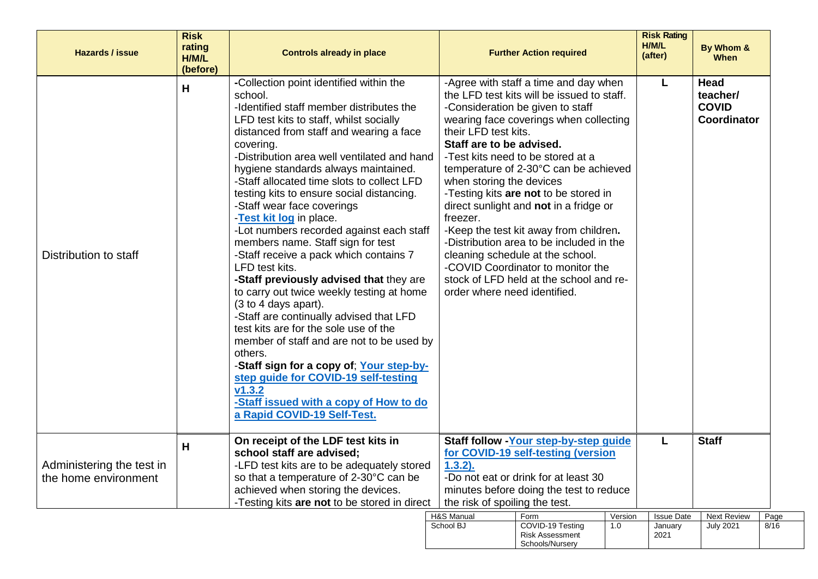| <b>Hazards / issue</b>                            | <b>Risk</b><br>rating<br>H/M/L<br>(before) | <b>Controls already in place</b>                                                                                                                                                                                                                                                                                                                                                                                                                                                                                                                                                                                                                                                                                                                                                                                                                                                                                                                                                                                             |                                                                                                                                                                                                                 | <b>Further Action required</b>                                                                                                                                                                                                                                                                                                                                                                                                                                                                                                               |                | <b>Risk Rating</b><br>H/M/L<br>(after) | By Whom &<br><b>When</b>                        |              |
|---------------------------------------------------|--------------------------------------------|------------------------------------------------------------------------------------------------------------------------------------------------------------------------------------------------------------------------------------------------------------------------------------------------------------------------------------------------------------------------------------------------------------------------------------------------------------------------------------------------------------------------------------------------------------------------------------------------------------------------------------------------------------------------------------------------------------------------------------------------------------------------------------------------------------------------------------------------------------------------------------------------------------------------------------------------------------------------------------------------------------------------------|-----------------------------------------------------------------------------------------------------------------------------------------------------------------------------------------------------------------|----------------------------------------------------------------------------------------------------------------------------------------------------------------------------------------------------------------------------------------------------------------------------------------------------------------------------------------------------------------------------------------------------------------------------------------------------------------------------------------------------------------------------------------------|----------------|----------------------------------------|-------------------------------------------------|--------------|
| Distribution to staff                             | H                                          | -Collection point identified within the<br>school.<br>-Identified staff member distributes the<br>LFD test kits to staff, whilst socially<br>distanced from staff and wearing a face<br>covering.<br>-Distribution area well ventilated and hand<br>hygiene standards always maintained.<br>-Staff allocated time slots to collect LFD<br>testing kits to ensure social distancing.<br>-Staff wear face coverings<br>-Test kit log in place.<br>-Lot numbers recorded against each staff<br>members name. Staff sign for test<br>-Staff receive a pack which contains 7<br>LFD test kits.<br>-Staff previously advised that they are<br>to carry out twice weekly testing at home<br>(3 to 4 days apart).<br>-Staff are continually advised that LFD<br>test kits are for the sole use of the<br>member of staff and are not to be used by<br>others.<br>-Staff sign for a copy of; Your step-by-<br>step guide for COVID-19 self-testing<br>v1.3.2<br>-Staff issued with a copy of How to do<br>a Rapid COVID-19 Self-Test. | their LFD test kits.<br>Staff are to be advised.<br>when storing the devices<br>freezer.<br>order where need identified.                                                                                        | -Agree with staff a time and day when<br>the LFD test kits will be issued to staff.<br>-Consideration be given to staff<br>wearing face coverings when collecting<br>-Test kits need to be stored at a<br>temperature of 2-30°C can be achieved<br>-Testing kits are not to be stored in<br>direct sunlight and not in a fridge or<br>-Keep the test kit away from children.<br>-Distribution area to be included in the<br>cleaning schedule at the school.<br>-COVID Coordinator to monitor the<br>stock of LFD held at the school and re- |                | L                                      | Head<br>teacher/<br><b>COVID</b><br>Coordinator |              |
| Administering the test in<br>the home environment | Н                                          | On receipt of the LDF test kits in<br>school staff are advised;<br>-LFD test kits are to be adequately stored<br>so that a temperature of 2-30°C can be<br>achieved when storing the devices.<br>-Testing kits are not to be stored in direct                                                                                                                                                                                                                                                                                                                                                                                                                                                                                                                                                                                                                                                                                                                                                                                | Staff follow - Your step-by-step guide<br>for COVID-19 self-testing (version<br>$1.3.2$ ).<br>-Do not eat or drink for at least 30<br>minutes before doing the test to reduce<br>the risk of spoiling the test. |                                                                                                                                                                                                                                                                                                                                                                                                                                                                                                                                              |                | L                                      | <b>Staff</b>                                    |              |
|                                                   |                                            |                                                                                                                                                                                                                                                                                                                                                                                                                                                                                                                                                                                                                                                                                                                                                                                                                                                                                                                                                                                                                              | H&S Manual<br>School BJ                                                                                                                                                                                         | Form<br>COVID-19 Testing<br><b>Risk Assessment</b><br>Schools/Nursery                                                                                                                                                                                                                                                                                                                                                                                                                                                                        | Version<br>1.0 | <b>Issue Date</b><br>January<br>2021   | <b>Next Review</b><br><b>July 2021</b>          | Page<br>8/16 |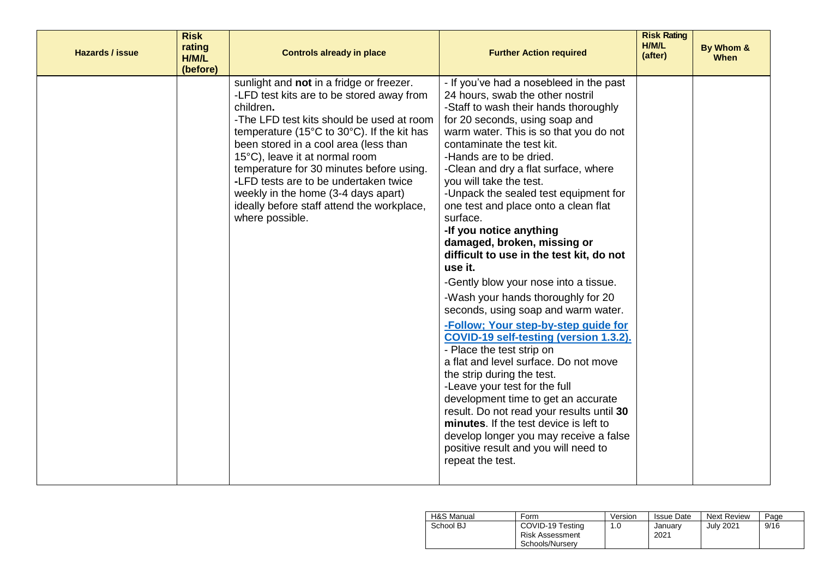| <b>Hazards / issue</b> | <b>Risk</b><br>rating<br>H/M/L<br>(before) | <b>Controls already in place</b>                                                                                                                                                                                                                                                                                                                                                                                                                                       | <b>Further Action required</b>                                                                                                                                                                                                                                                                                                                                                                                                                                                                                                                                                                                                                                                                                                                                                                                                                                                                                                                                                                                                                                                                                             | <b>Risk Rating</b><br>H/M/L<br>(after) | By Whom &<br><b>When</b> |
|------------------------|--------------------------------------------|------------------------------------------------------------------------------------------------------------------------------------------------------------------------------------------------------------------------------------------------------------------------------------------------------------------------------------------------------------------------------------------------------------------------------------------------------------------------|----------------------------------------------------------------------------------------------------------------------------------------------------------------------------------------------------------------------------------------------------------------------------------------------------------------------------------------------------------------------------------------------------------------------------------------------------------------------------------------------------------------------------------------------------------------------------------------------------------------------------------------------------------------------------------------------------------------------------------------------------------------------------------------------------------------------------------------------------------------------------------------------------------------------------------------------------------------------------------------------------------------------------------------------------------------------------------------------------------------------------|----------------------------------------|--------------------------|
|                        |                                            | sunlight and not in a fridge or freezer.<br>-LFD test kits are to be stored away from<br>children.<br>-The LFD test kits should be used at room<br>temperature (15°C to 30°C). If the kit has<br>been stored in a cool area (less than<br>15°C), leave it at normal room.<br>temperature for 30 minutes before using.<br>-LFD tests are to be undertaken twice<br>weekly in the home (3-4 days apart)<br>ideally before staff attend the workplace,<br>where possible. | - If you've had a nosebleed in the past<br>24 hours, swab the other nostril<br>-Staff to wash their hands thoroughly<br>for 20 seconds, using soap and<br>warm water. This is so that you do not<br>contaminate the test kit.<br>-Hands are to be dried.<br>-Clean and dry a flat surface, where<br>you will take the test.<br>-Unpack the sealed test equipment for<br>one test and place onto a clean flat<br>surface.<br>-If you notice anything<br>damaged, broken, missing or<br>difficult to use in the test kit, do not<br>use it.<br>-Gently blow your nose into a tissue.<br>-Wash your hands thoroughly for 20<br>seconds, using soap and warm water.<br>-Follow; Your step-by-step guide for<br>COVID-19 self-testing (version 1.3.2).<br>- Place the test strip on<br>a flat and level surface. Do not move<br>the strip during the test.<br>-Leave your test for the full<br>development time to get an accurate<br>result. Do not read your results until 30<br>minutes. If the test device is left to<br>develop longer you may receive a false<br>positive result and you will need to<br>repeat the test. |                                        |                          |

| H&S Manual | Form                                                   | Version | <b>Issue Date</b> | <b>Next Review</b> | Page |
|------------|--------------------------------------------------------|---------|-------------------|--------------------|------|
| School BJ  | COVID-19 Testing<br>Risk Assessment<br>Schools/Nurserv | 1.0     | Januarv<br>2021   | July 2021          | 9/16 |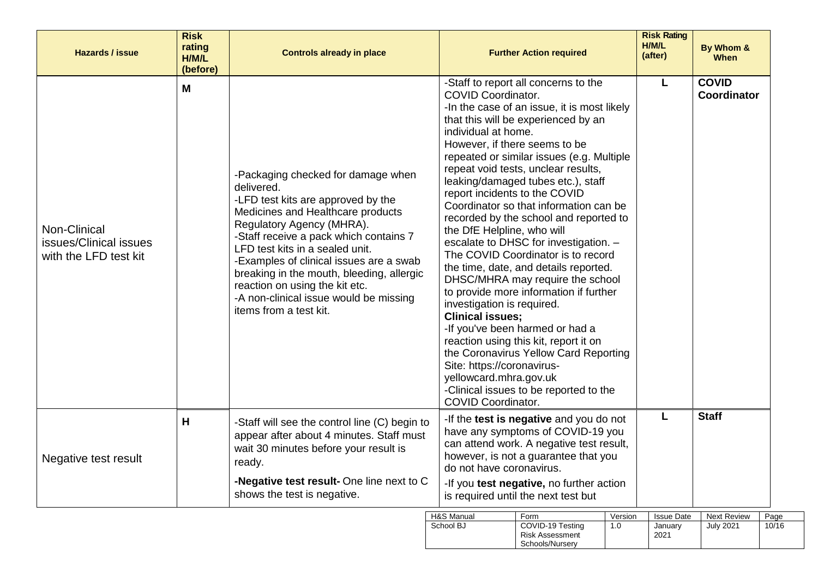| <b>Hazards / issue</b>                                          | <b>Risk</b><br>rating<br>H/M/L<br>(before) | <b>Controls already in place</b>                                                                                                                                                                                                                                                                                                                                                                                                    | <b>Further Action required</b>                                                                                                                                                                                                                                                                                                                                                                                                                                                                                                                                                                                                                                                                                                                                                                                                                                                                                                                                                                                  | <b>Risk Rating</b><br>H/M/L<br>(after) | By Whom &<br><b>When</b>           |
|-----------------------------------------------------------------|--------------------------------------------|-------------------------------------------------------------------------------------------------------------------------------------------------------------------------------------------------------------------------------------------------------------------------------------------------------------------------------------------------------------------------------------------------------------------------------------|-----------------------------------------------------------------------------------------------------------------------------------------------------------------------------------------------------------------------------------------------------------------------------------------------------------------------------------------------------------------------------------------------------------------------------------------------------------------------------------------------------------------------------------------------------------------------------------------------------------------------------------------------------------------------------------------------------------------------------------------------------------------------------------------------------------------------------------------------------------------------------------------------------------------------------------------------------------------------------------------------------------------|----------------------------------------|------------------------------------|
| Non-Clinical<br>issues/Clinical issues<br>with the LFD test kit | M                                          | -Packaging checked for damage when<br>delivered.<br>-LFD test kits are approved by the<br>Medicines and Healthcare products<br>Regulatory Agency (MHRA).<br>-Staff receive a pack which contains 7<br>LFD test kits in a sealed unit.<br>-Examples of clinical issues are a swab<br>breaking in the mouth, bleeding, allergic<br>reaction on using the kit etc.<br>-A non-clinical issue would be missing<br>items from a test kit. | -Staff to report all concerns to the<br><b>COVID Coordinator.</b><br>-In the case of an issue, it is most likely<br>that this will be experienced by an<br>individual at home.<br>However, if there seems to be<br>repeated or similar issues (e.g. Multiple<br>repeat void tests, unclear results,<br>leaking/damaged tubes etc.), staff<br>report incidents to the COVID<br>Coordinator so that information can be<br>recorded by the school and reported to<br>the DfE Helpline, who will<br>escalate to DHSC for investigation. -<br>The COVID Coordinator is to record<br>the time, date, and details reported.<br>DHSC/MHRA may require the school<br>to provide more information if further<br>investigation is required.<br><b>Clinical issues:</b><br>-If you've been harmed or had a<br>reaction using this kit, report it on<br>the Coronavirus Yellow Card Reporting<br>Site: https://coronavirus-<br>yellowcard.mhra.gov.uk<br>-Clinical issues to be reported to the<br><b>COVID Coordinator.</b> | L                                      | <b>COVID</b><br><b>Coordinator</b> |
| Negative test result                                            | н                                          | -Staff will see the control line (C) begin to<br>appear after about 4 minutes. Staff must<br>wait 30 minutes before your result is<br>ready.                                                                                                                                                                                                                                                                                        | -If the test is negative and you do not<br>have any symptoms of COVID-19 you<br>can attend work. A negative test result,<br>however, is not a guarantee that you<br>do not have coronavirus.                                                                                                                                                                                                                                                                                                                                                                                                                                                                                                                                                                                                                                                                                                                                                                                                                    | L                                      | <b>Staff</b>                       |
|                                                                 |                                            | -Negative test result- One line next to C<br>shows the test is negative.                                                                                                                                                                                                                                                                                                                                                            | -If you test negative, no further action<br>is required until the next test but                                                                                                                                                                                                                                                                                                                                                                                                                                                                                                                                                                                                                                                                                                                                                                                                                                                                                                                                 |                                        |                                    |
|                                                                 |                                            |                                                                                                                                                                                                                                                                                                                                                                                                                                     | H&S Manual<br>Form<br>Version                                                                                                                                                                                                                                                                                                                                                                                                                                                                                                                                                                                                                                                                                                                                                                                                                                                                                                                                                                                   | <b>Issue Date</b>                      | <b>Next Review</b><br>Page         |

| H&S Manual | Form                                                          | Version | <b>Issue Date</b> | <b>Next Review</b> | Page  |
|------------|---------------------------------------------------------------|---------|-------------------|--------------------|-------|
| School BJ  | COVID-19 Testing<br><b>Risk Assessment</b><br>Schools/Nurserv | 1.0     | Januarv<br>2021   | <b>July 2021</b>   | 10/16 |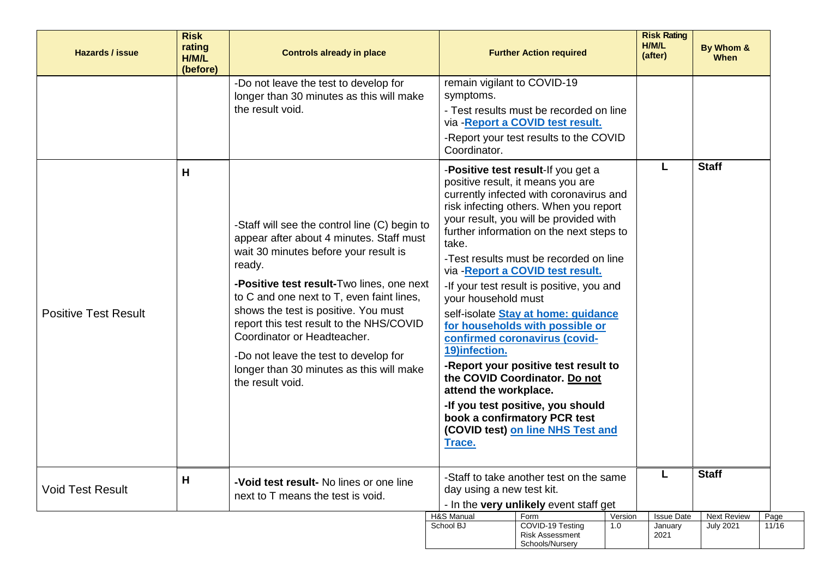| <b>Hazards / issue</b>      | <b>Risk</b><br>rating<br>H/M/L<br>(before) | <b>Controls already in place</b>                                                                                                                                                                                                                                                                                                                                                                                                                                                                                                                                            |                                                                                                                                              | <b>Further Action required</b>                                                                                                                                                                                                                                                                                                                                                                                                                                                                                                                                                                                                                                                                                                                                                                         |                | <b>Risk Rating</b><br>H/M/L<br>(after) | By Whom &<br><b>When</b>               |               |
|-----------------------------|--------------------------------------------|-----------------------------------------------------------------------------------------------------------------------------------------------------------------------------------------------------------------------------------------------------------------------------------------------------------------------------------------------------------------------------------------------------------------------------------------------------------------------------------------------------------------------------------------------------------------------------|----------------------------------------------------------------------------------------------------------------------------------------------|--------------------------------------------------------------------------------------------------------------------------------------------------------------------------------------------------------------------------------------------------------------------------------------------------------------------------------------------------------------------------------------------------------------------------------------------------------------------------------------------------------------------------------------------------------------------------------------------------------------------------------------------------------------------------------------------------------------------------------------------------------------------------------------------------------|----------------|----------------------------------------|----------------------------------------|---------------|
| <b>Positive Test Result</b> | H                                          | -Do not leave the test to develop for<br>longer than 30 minutes as this will make<br>the result void.<br>-Staff will see the control line (C) begin to<br>appear after about 4 minutes. Staff must<br>wait 30 minutes before your result is<br>ready.<br>-Positive test result-Two lines, one next<br>to C and one next to T, even faint lines,<br>shows the test is positive. You must<br>report this test result to the NHS/COVID<br>Coordinator or Headteacher.<br>-Do not leave the test to develop for<br>longer than 30 minutes as this will make<br>the result void. | remain vigilant to COVID-19<br>symptoms.<br>Coordinator.<br>take.<br>your household must<br>19)infection.<br>attend the workplace.<br>Trace. | - Test results must be recorded on line<br>via - Report a COVID test result.<br>-Report your test results to the COVID<br>-Positive test result-If you get a<br>positive result, it means you are<br>currently infected with coronavirus and<br>risk infecting others. When you report<br>your result, you will be provided with<br>further information on the next steps to<br>-Test results must be recorded on line<br>via - Report a COVID test result.<br>-If your test result is positive, you and<br>self-isolate Stay at home: guidance<br>for households with possible or<br>confirmed coronavirus (covid-<br>-Report your positive test result to<br>the COVID Coordinator. Do not<br>-If you test positive, you should<br>book a confirmatory PCR test<br>(COVID test) on line NHS Test and |                | L                                      | <b>Staff</b>                           |               |
| <b>Void Test Result</b>     | H                                          | -Void test result- No lines or one line<br>next to T means the test is void.                                                                                                                                                                                                                                                                                                                                                                                                                                                                                                | day using a new test kit.                                                                                                                    | -Staff to take another test on the same<br>- In the very unlikely event staff get                                                                                                                                                                                                                                                                                                                                                                                                                                                                                                                                                                                                                                                                                                                      |                | L                                      | <b>Staff</b>                           |               |
|                             |                                            |                                                                                                                                                                                                                                                                                                                                                                                                                                                                                                                                                                             | H&S Manual<br>School BJ                                                                                                                      | Form<br>COVID-19 Testing<br><b>Risk Assessment</b><br>Schools/Nursery                                                                                                                                                                                                                                                                                                                                                                                                                                                                                                                                                                                                                                                                                                                                  | Version<br>1.0 | <b>Issue Date</b><br>January<br>2021   | <b>Next Review</b><br><b>July 2021</b> | Page<br>11/16 |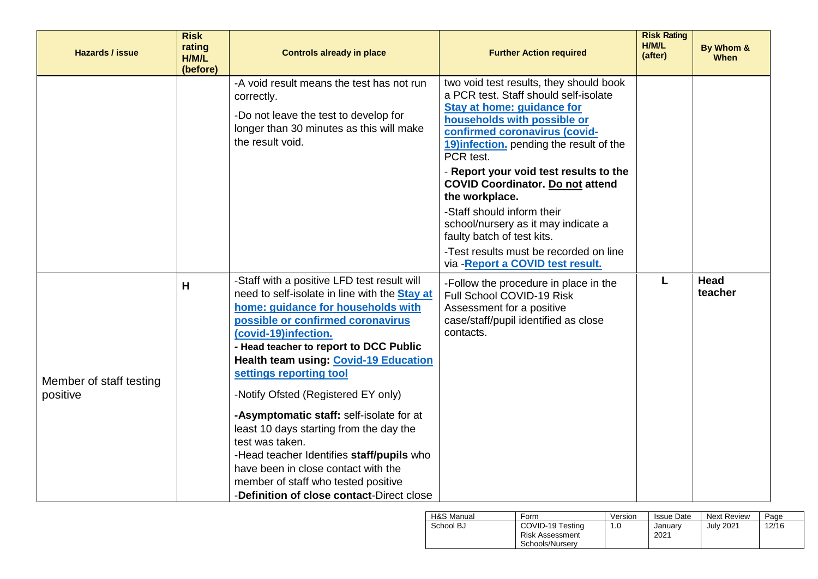| <b>Hazards / issue</b>              | <b>Risk</b><br>rating<br>H/M/L<br>(before) | <b>Controls already in place</b>                                                                                                                                                                                                                                                                                                                                                                                                                                                                                                                                                                                                                     | <b>Further Action required</b>                                                                                                                                                                                                                                                                                                                                                                                                                                                                                                   | <b>Risk Rating</b><br>H/M/L<br>(after) | By Whom &<br><b>When</b> |
|-------------------------------------|--------------------------------------------|------------------------------------------------------------------------------------------------------------------------------------------------------------------------------------------------------------------------------------------------------------------------------------------------------------------------------------------------------------------------------------------------------------------------------------------------------------------------------------------------------------------------------------------------------------------------------------------------------------------------------------------------------|----------------------------------------------------------------------------------------------------------------------------------------------------------------------------------------------------------------------------------------------------------------------------------------------------------------------------------------------------------------------------------------------------------------------------------------------------------------------------------------------------------------------------------|----------------------------------------|--------------------------|
|                                     |                                            | -A void result means the test has not run<br>correctly.<br>-Do not leave the test to develop for<br>longer than 30 minutes as this will make<br>the result void.                                                                                                                                                                                                                                                                                                                                                                                                                                                                                     | two void test results, they should book<br>a PCR test. Staff should self-isolate<br>Stay at home: guidance for<br>households with possible or<br>confirmed coronavirus (covid-<br>19) infection. pending the result of the<br>PCR test.<br>- Report your void test results to the<br><b>COVID Coordinator. Do not attend</b><br>the workplace.<br>-Staff should inform their<br>school/nursery as it may indicate a<br>faulty batch of test kits.<br>-Test results must be recorded on line<br>via - Report a COVID test result. |                                        |                          |
| Member of staff testing<br>positive | H                                          | -Staff with a positive LFD test result will<br>need to self-isolate in line with the <b>Stay at</b><br>home: guidance for households with<br>possible or confirmed coronavirus<br>(covid-19)infection.<br>- Head teacher to report to DCC Public<br><b>Health team using: Covid-19 Education</b><br>settings reporting tool<br>-Notify Ofsted (Registered EY only)<br>-Asymptomatic staff: self-isolate for at<br>least 10 days starting from the day the<br>test was taken.<br>-Head teacher Identifies staff/pupils who<br>have been in close contact with the<br>member of staff who tested positive<br>-Definition of close contact-Direct close | -Follow the procedure in place in the<br>Full School COVID-19 Risk<br>Assessment for a positive<br>case/staff/pupil identified as close<br>contacts.                                                                                                                                                                                                                                                                                                                                                                             | L                                      | Head<br>teacher          |

| H&S Manual | Form                                                   | Version | <b>Issue Date</b> | <b>Next Review</b> | Page  |
|------------|--------------------------------------------------------|---------|-------------------|--------------------|-------|
| School BJ  | COVID-19 Testing<br>Risk Assessment<br>Schools/Nurserv | 1.0     | January<br>2021   | July 2021          | 12/16 |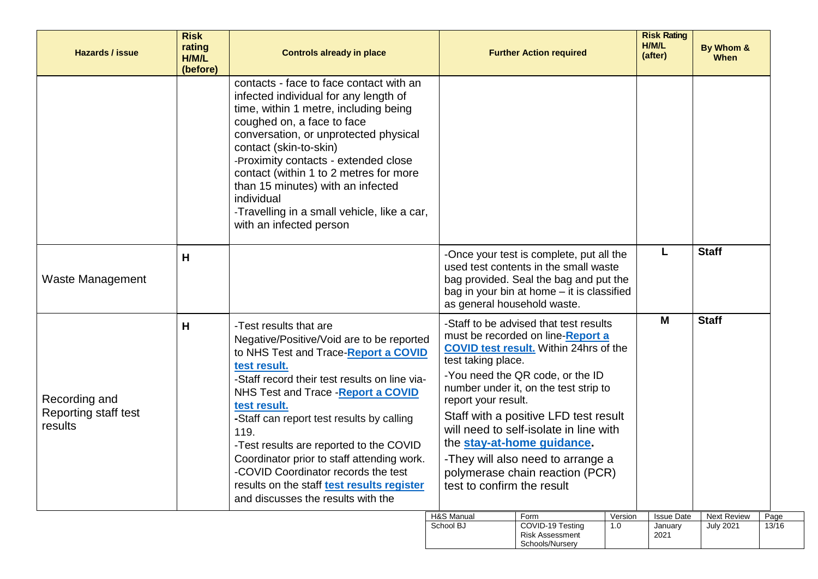| <b>Hazards / issue</b>                           | <b>Risk</b><br>rating<br>H/M/L<br>(before) | <b>Controls already in place</b>                                                                                                                                                                                                                                                                                                                                                                                                                                                                             |                                                                                                                                                                                                                                                                                                                                                                                                                                                                               | <b>Further Action required</b>                                                                                                                                            |                | <b>Risk Rating</b><br>H/M/L<br>(after) | By Whom &<br><b>When</b>               |               |
|--------------------------------------------------|--------------------------------------------|--------------------------------------------------------------------------------------------------------------------------------------------------------------------------------------------------------------------------------------------------------------------------------------------------------------------------------------------------------------------------------------------------------------------------------------------------------------------------------------------------------------|-------------------------------------------------------------------------------------------------------------------------------------------------------------------------------------------------------------------------------------------------------------------------------------------------------------------------------------------------------------------------------------------------------------------------------------------------------------------------------|---------------------------------------------------------------------------------------------------------------------------------------------------------------------------|----------------|----------------------------------------|----------------------------------------|---------------|
|                                                  |                                            | contacts - face to face contact with an<br>infected individual for any length of<br>time, within 1 metre, including being<br>coughed on, a face to face<br>conversation, or unprotected physical<br>contact (skin-to-skin)<br>-Proximity contacts - extended close<br>contact (within 1 to 2 metres for more<br>than 15 minutes) with an infected<br>individual<br>-Travelling in a small vehicle, like a car,<br>with an infected person                                                                    |                                                                                                                                                                                                                                                                                                                                                                                                                                                                               |                                                                                                                                                                           |                |                                        |                                        |               |
| <b>Waste Management</b>                          | н                                          |                                                                                                                                                                                                                                                                                                                                                                                                                                                                                                              | as general household waste.                                                                                                                                                                                                                                                                                                                                                                                                                                                   | -Once your test is complete, put all the<br>used test contents in the small waste<br>bag provided. Seal the bag and put the<br>bag in your bin at home - it is classified |                |                                        | <b>Staff</b>                           |               |
| Recording and<br>Reporting staff test<br>results | н                                          | -Test results that are<br>Negative/Positive/Void are to be reported<br>to NHS Test and Trace-Report a COVID<br>test result.<br>-Staff record their test results on line via-<br>NHS Test and Trace - Report a COVID<br>test result.<br>-Staff can report test results by calling<br>119.<br>-Test results are reported to the COVID<br>Coordinator prior to staff attending work.<br>-COVID Coordinator records the test<br>results on the staff test results register<br>and discusses the results with the | -Staff to be advised that test results<br>must be recorded on line-Report a<br><b>COVID test result.</b> Within 24hrs of the<br>test taking place.<br>-You need the QR code, or the ID<br>number under it, on the test strip to<br>report your result.<br>Staff with a positive LFD test result<br>will need to self-isolate in line with<br>the stay-at-home guidance.<br>-They will also need to arrange a<br>polymerase chain reaction (PCR)<br>test to confirm the result |                                                                                                                                                                           |                | M                                      | <b>Staff</b>                           |               |
|                                                  |                                            |                                                                                                                                                                                                                                                                                                                                                                                                                                                                                                              | H&S Manual<br>School BJ                                                                                                                                                                                                                                                                                                                                                                                                                                                       | Form<br>COVID-19 Testing<br><b>Risk Assessment</b><br>Schools/Nursery                                                                                                     | Version<br>1.0 | <b>Issue Date</b><br>January<br>2021   | <b>Next Review</b><br><b>July 2021</b> | Page<br>13/16 |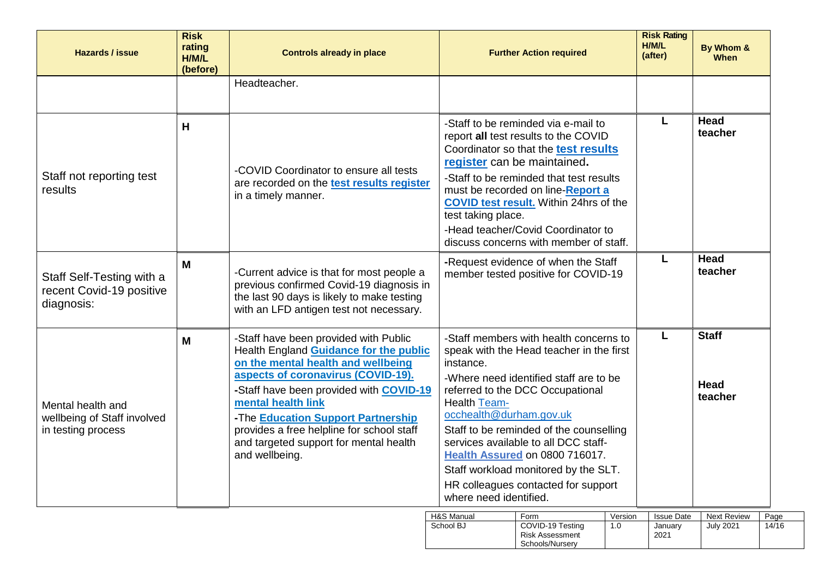| <b>Hazards / issue</b>                                                 | <b>Risk</b><br>rating<br>H/M/L<br>(before) | <b>Controls already in place</b>                                                                                                                                                                                                                                                                                                                                            | <b>Further Action required</b>                                                                                                                                                                                                                                                                                                                                                                                                                                | <b>Risk Rating</b><br>H/M/L<br>(after) | By Whom &<br>When               |
|------------------------------------------------------------------------|--------------------------------------------|-----------------------------------------------------------------------------------------------------------------------------------------------------------------------------------------------------------------------------------------------------------------------------------------------------------------------------------------------------------------------------|---------------------------------------------------------------------------------------------------------------------------------------------------------------------------------------------------------------------------------------------------------------------------------------------------------------------------------------------------------------------------------------------------------------------------------------------------------------|----------------------------------------|---------------------------------|
|                                                                        |                                            | Headteacher.                                                                                                                                                                                                                                                                                                                                                                |                                                                                                                                                                                                                                                                                                                                                                                                                                                               |                                        |                                 |
| Staff not reporting test<br>results                                    | H                                          | -COVID Coordinator to ensure all tests<br>are recorded on the test results register<br>in a timely manner.                                                                                                                                                                                                                                                                  | -Staff to be reminded via e-mail to<br>report all test results to the COVID<br>Coordinator so that the test results<br>register can be maintained.<br>-Staff to be reminded that test results<br>must be recorded on line-Report a<br><b>COVID test result.</b> Within 24hrs of the<br>test taking place.<br>-Head teacher/Covid Coordinator to<br>discuss concerns with member of staff.                                                                     |                                        | Head<br>teacher                 |
| Staff Self-Testing with a<br>recent Covid-19 positive<br>diagnosis:    | M                                          | -Current advice is that for most people a<br>previous confirmed Covid-19 diagnosis in<br>the last 90 days is likely to make testing<br>with an LFD antigen test not necessary.                                                                                                                                                                                              | -Request evidence of when the Staff<br>member tested positive for COVID-19                                                                                                                                                                                                                                                                                                                                                                                    | L                                      | <b>Head</b><br>teacher          |
| Mental health and<br>wellbeing of Staff involved<br>in testing process | M                                          | -Staff have been provided with Public<br>Health England Guidance for the public<br>on the mental health and wellbeing<br>aspects of coronavirus (COVID-19).<br>-Staff have been provided with COVID-19<br>mental health link<br>-The Education Support Partnership<br>provides a free helpline for school staff<br>and targeted support for mental health<br>and wellbeing. | -Staff members with health concerns to<br>speak with the Head teacher in the first<br>instance.<br>-Where need identified staff are to be<br>referred to the DCC Occupational<br><b>Health Team-</b><br>occhealth@durham.gov.uk<br>Staff to be reminded of the counselling<br>services available to all DCC staff-<br>Health Assured on 0800 716017.<br>Staff workload monitored by the SLT.<br>HR colleagues contacted for support<br>where need identified. | L                                      | <b>Staff</b><br>Head<br>teacher |

| H&S Manual | Form                                                          | Version | <b>Issue Date</b> | <b>Next Review</b> | Page  |
|------------|---------------------------------------------------------------|---------|-------------------|--------------------|-------|
| School BJ  | COVID-19 Testing<br><b>Risk Assessment</b><br>Schools/Nurserv | 1.0     | Januarv<br>2021   | <b>July 2021</b>   | 14/16 |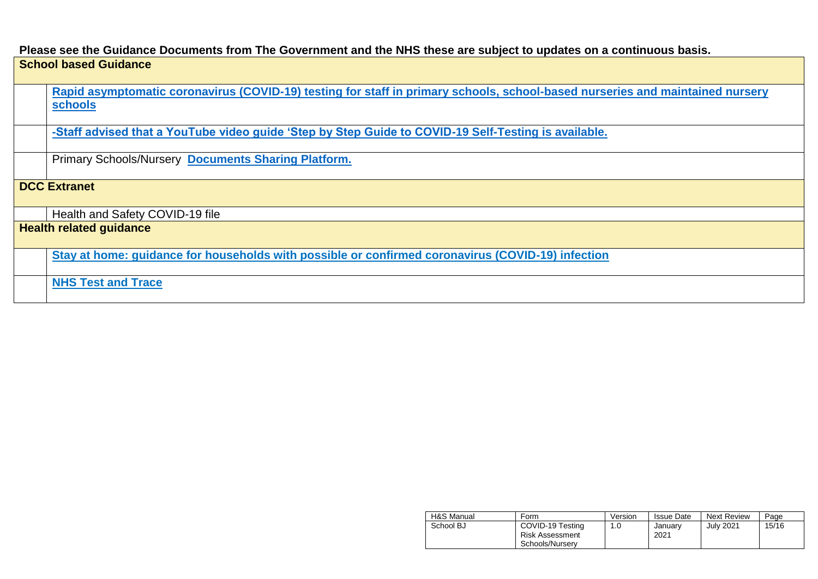## **Please see the Guidance Documents from The Government and the NHS these are subject to updates on a continuous basis.**

## **School based Guidance**

**[Rapid asymptomatic coronavirus \(COVID-19\) testing for staff in primary schools, school-based nurseries and maintained nursery](../AppData/Local/Microsoft/Windows/AppData/Local/Microsoft/Windows/INetCache/Content.Outlook/AppData/Local/Microsoft/Windows/INetCache/Content.Outlook/03JD6DUO/Rapid%20asymptomatic%20coronavirus%20(COVID-19)%20testing%20for%20staff%20in%20primary%20schools,%20school-based%20nurseries%20and%20maintained%20nursery%20schools)  [schools](../AppData/Local/Microsoft/Windows/AppData/Local/Microsoft/Windows/INetCache/Content.Outlook/AppData/Local/Microsoft/Windows/INetCache/Content.Outlook/03JD6DUO/Rapid%20asymptomatic%20coronavirus%20(COVID-19)%20testing%20for%20staff%20in%20primary%20schools,%20school-based%20nurseries%20and%20maintained%20nursery%20schools)**

**[-Staff advised that a YouTube video guide 'Step by Step Guide to COVID-19 Self-Testing is available.](https://www.youtube.com/playlist?list=PLvaBZskxS7tzQYlVg7lwH5uxAD9UrSzGJ)**

Primary Schools/Nursery **[Documents Sharing Platform.](https://drive.google.com/drive/folders/1X4fLxy6_ppmpmKrv3hT2M6cduAN_GS54)**

## **DCC Extranet**

Health and Safety COVID-19 file

**Health related guidance**

**[Stay at home: guidance for households with possible or confirmed coronavirus \(COVID-19\) infection](https://www.gov.uk/government/publications/covid-19-stay-at-home-guidance/stay-at-home-guidance-for-households-with-possible-coronavirus-covid-19-infection)**

**[NHS Test and Trace](https://www.gov.uk/guidance/nhs-test-and-trace-how-it-works)**

| H&S Manual | Form                                                          | Version | <b>Issue Date</b> | <b>Next Review</b> | Page  |
|------------|---------------------------------------------------------------|---------|-------------------|--------------------|-------|
| School BJ  | COVID-19 Testing<br><b>Risk Assessment</b><br>Schools/Nurserv | 1.0     | Januarv<br>2021   | <b>July 2021</b>   | 15/16 |